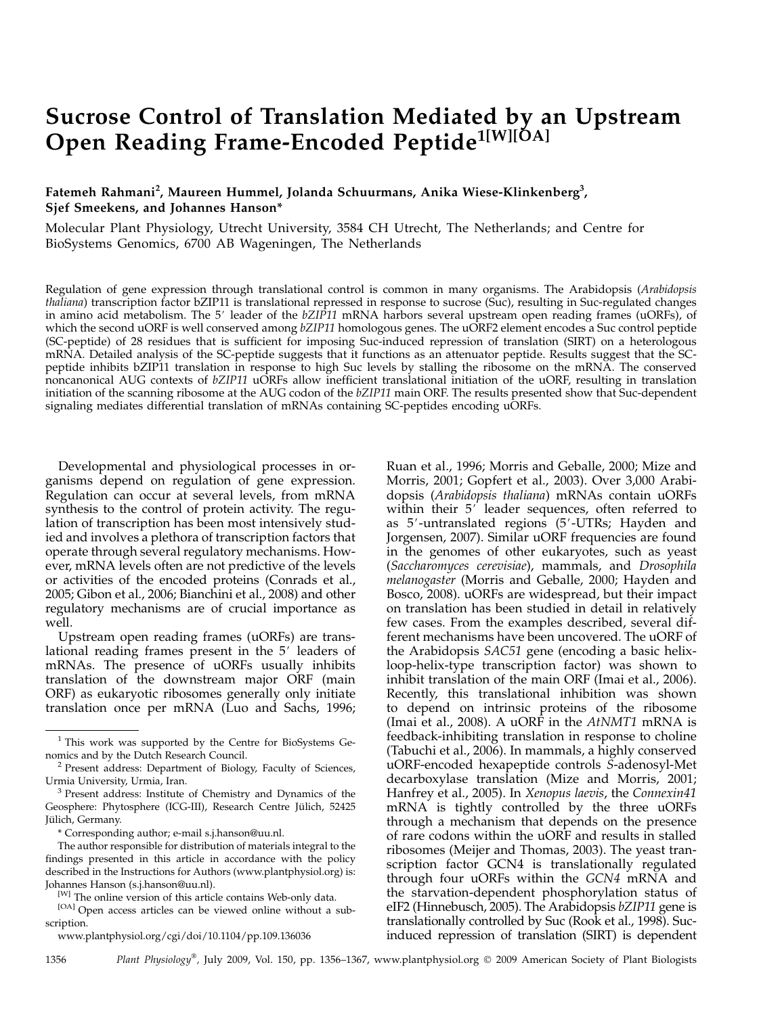# Sucrose Control of Translation Mediated by an Upstream Open Reading Frame-Encoded Peptide<sup>1[W][ŎA]</sup>

# Fatemeh Rahmani<sup>2</sup>, Maureen Hummel, Jolanda Schuurmans, Anika Wiese-Klinkenberg<sup>3</sup>, Sjef Smeekens, and Johannes Hanson\*

Molecular Plant Physiology, Utrecht University, 3584 CH Utrecht, The Netherlands; and Centre for BioSystems Genomics, 6700 AB Wageningen, The Netherlands

Regulation of gene expression through translational control is common in many organisms. The Arabidopsis (Arabidopsis thaliana) transcription factor bZIP11 is translational repressed in response to sucrose (Suc), resulting in Suc-regulated changes in amino acid metabolism. The 5' leader of the  $bZI\hat{P}11$  mRNA harbors several upstream open reading frames (uORFs), of which the second uORF is well conserved among bZIP11 homologous genes. The uORF2 element encodes a Suc control peptide (SC-peptide) of 28 residues that is sufficient for imposing Suc-induced repression of translation (SIRT) on a heterologous mRNA. Detailed analysis of the SC-peptide suggests that it functions as an attenuator peptide. Results suggest that the SCpeptide inhibits bZIP11 translation in response to high Suc levels by stalling the ribosome on the mRNA. The conserved noncanonical AUG contexts of bZIP11 uORFs allow inefficient translational initiation of the uORF, resulting in translation initiation of the scanning ribosome at the AUG codon of the bZIP11 main ORF. The results presented show that Suc-dependent signaling mediates differential translation of mRNAs containing SC-peptides encoding uORFs.

Developmental and physiological processes in organisms depend on regulation of gene expression. Regulation can occur at several levels, from mRNA synthesis to the control of protein activity. The regulation of transcription has been most intensively studied and involves a plethora of transcription factors that operate through several regulatory mechanisms. However, mRNA levels often are not predictive of the levels or activities of the encoded proteins (Conrads et al., 2005; Gibon et al., 2006; Bianchini et al., 2008) and other regulatory mechanisms are of crucial importance as well.

Upstream open reading frames (uORFs) are translational reading frames present in the 5' leaders of mRNAs. The presence of uORFs usually inhibits translation of the downstream major ORF (main ORF) as eukaryotic ribosomes generally only initiate translation once per mRNA (Luo and Sachs, 1996;

[OA] Open access articles can be viewed online without a subscription.

www.plantphysiol.org/cgi/doi/10.1104/pp.109.136036

Ruan et al., 1996; Morris and Geballe, 2000; Mize and Morris, 2001; Gopfert et al., 2003). Over 3,000 Arabidopsis (Arabidopsis thaliana) mRNAs contain uORFs within their  $5'$  leader sequences, often referred to as 5'-untranslated regions (5'-UTRs; Hayden and Jorgensen, 2007). Similar uORF frequencies are found in the genomes of other eukaryotes, such as yeast (Saccharomyces cerevisiae), mammals, and Drosophila melanogaster (Morris and Geballe, 2000; Hayden and Bosco, 2008). uORFs are widespread, but their impact on translation has been studied in detail in relatively few cases. From the examples described, several different mechanisms have been uncovered. The uORF of the Arabidopsis SAC51 gene (encoding a basic helixloop-helix-type transcription factor) was shown to inhibit translation of the main ORF (Imai et al., 2006). Recently, this translational inhibition was shown to depend on intrinsic proteins of the ribosome (Imai et al., 2008). A uORF in the  $AtNMT1$  mRNA is feedback-inhibiting translation in response to choline (Tabuchi et al., 2006). In mammals, a highly conserved uORF-encoded hexapeptide controls S-adenosyl-Met decarboxylase translation (Mize and Morris, 2001; Hanfrey et al., 2005). In Xenopus laevis, the Connexin41 mRNA is tightly controlled by the three uORFs through a mechanism that depends on the presence of rare codons within the uORF and results in stalled ribosomes (Meijer and Thomas, 2003). The yeast transcription factor GCN4 is translationally regulated through four uORFs within the GCN4 mRNA and the starvation-dependent phosphorylation status of eIF2 (Hinnebusch, 2005). The Arabidopsis bZIP11 gene is translationally controlled by Suc (Rook et al., 1998). Sucinduced repression of translation (SIRT) is dependent

1356 Plant Physiology®, July 2009, Vol. 150, pp. 1356–1367, www.plantphysiol.org  $\odot$  2009 American Society of Plant Biologists

 $1$  This work was supported by the Centre for BioSystems Ge-<br>nomics and by the Dutch Research Council.

 $2$  Present address: Department of Biology, Faculty of Sciences, Urmia University, Urmia, Iran.<br><sup>3</sup> Present address: Institute of Chemistry and Dynamics of the

Geosphere: Phytosphere (ICG-III), Research Centre Jülich, 52425 Jülich, Germany.

<sup>\*</sup> Corresponding author; e-mail s.j.hanson@uu.nl.

The author responsible for distribution of materials integral to the findings presented in this article in accordance with the policy described in the Instructions for Authors (www.plantphysiol.org) is: Johannes Hanson (s.j.hanson@uu.nl).

<sup>[</sup>W] The online version of this article contains Web-only data.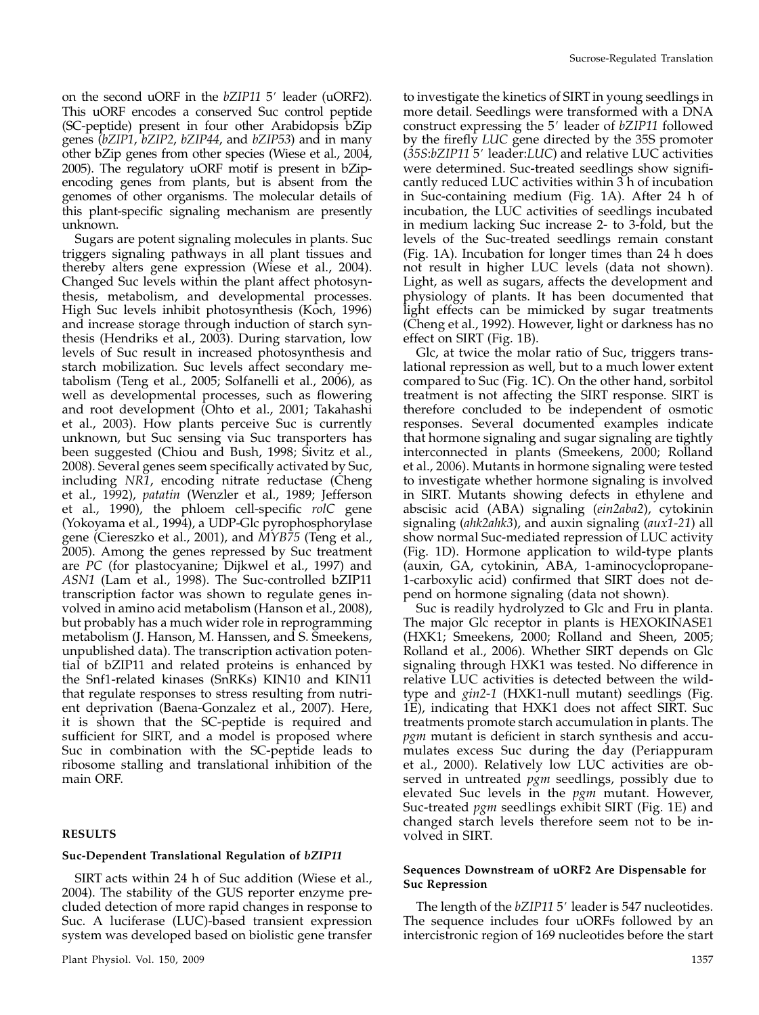on the second uORF in the  $bZIP11$  5' leader (uORF2). This uORF encodes a conserved Suc control peptide (SC-peptide) present in four other Arabidopsis bZip genes (bZIP1, bZIP2, bZIP44, and bZIP53) and in many other bZip genes from other species (Wiese et al., 2004, 2005). The regulatory uORF motif is present in bZipencoding genes from plants, but is absent from the genomes of other organisms. The molecular details of this plant-specific signaling mechanism are presently unknown.

Sugars are potent signaling molecules in plants. Suc triggers signaling pathways in all plant tissues and thereby alters gene expression (Wiese et al., 2004). Changed Suc levels within the plant affect photosynthesis, metabolism, and developmental processes. High Suc levels inhibit photosynthesis (Koch, 1996) and increase storage through induction of starch synthesis (Hendriks et al., 2003). During starvation, low levels of Suc result in increased photosynthesis and starch mobilization. Suc levels affect secondary metabolism (Teng et al., 2005; Solfanelli et al., 2006), as well as developmental processes, such as flowering and root development (Ohto et al., 2001; Takahashi et al., 2003). How plants perceive Suc is currently unknown, but Suc sensing via Suc transporters has been suggested (Chiou and Bush, 1998; Sivitz et al., 2008). Several genes seem specifically activated by Suc, including NR1, encoding nitrate reductase (Cheng et al., 1992), patatin (Wenzler et al., 1989; Jefferson et al., 1990), the phloem cell-specific rolC gene (Yokoyama et al., 1994), a UDP-Glc pyrophosphorylase gene (Ciereszko et al., 2001), and MYB75 (Teng et al., 2005). Among the genes repressed by Suc treatment are PC (for plastocyanine; Dijkwel et al., 1997) and ASN1 (Lam et al., 1998). The Suc-controlled bZIP11 transcription factor was shown to regulate genes involved in amino acid metabolism (Hanson et al., 2008), but probably has a much wider role in reprogramming metabolism (J. Hanson, M. Hanssen, and S. Smeekens, unpublished data). The transcription activation potential of bZIP11 and related proteins is enhanced by the Snf1-related kinases (SnRKs) KIN10 and KIN11 that regulate responses to stress resulting from nutrient deprivation (Baena-Gonzalez et al., 2007). Here, it is shown that the SC-peptide is required and sufficient for SIRT, and a model is proposed where Suc in combination with the SC-peptide leads to ribosome stalling and translational inhibition of the main ORF.

## RESULTS

## Suc-Dependent Translational Regulation of bZIP11

SIRT acts within 24 h of Suc addition (Wiese et al., 2004). The stability of the GUS reporter enzyme precluded detection of more rapid changes in response to Suc. A luciferase (LUC)-based transient expression system was developed based on biolistic gene transfer

to investigate the kinetics of SIRT in young seedlings in more detail. Seedlings were transformed with a DNA construct expressing the 5' leader of bZIP11 followed by the firefly LUC gene directed by the 35S promoter  $(35S:bZIP115'$  leader:LUC) and relative LUC activities were determined. Suc-treated seedlings show significantly reduced LUC activities within 3 h of incubation in Suc-containing medium (Fig. 1A). After 24 h of incubation, the LUC activities of seedlings incubated in medium lacking Suc increase 2- to 3-fold, but the levels of the Suc-treated seedlings remain constant (Fig. 1A). Incubation for longer times than 24 h does not result in higher LUC levels (data not shown). Light, as well as sugars, affects the development and physiology of plants. It has been documented that light effects can be mimicked by sugar treatments (Cheng et al., 1992). However, light or darkness has no effect on SIRT (Fig. 1B).

Glc, at twice the molar ratio of Suc, triggers translational repression as well, but to a much lower extent compared to Suc (Fig. 1C). On the other hand, sorbitol treatment is not affecting the SIRT response. SIRT is therefore concluded to be independent of osmotic responses. Several documented examples indicate that hormone signaling and sugar signaling are tightly interconnected in plants (Smeekens, 2000; Rolland et al., 2006). Mutants in hormone signaling were tested to investigate whether hormone signaling is involved in SIRT. Mutants showing defects in ethylene and abscisic acid (ABA) signaling (ein2aba2), cytokinin signaling (ahk2ahk3), and auxin signaling (aux1-21) all show normal Suc-mediated repression of LUC activity (Fig. 1D). Hormone application to wild-type plants (auxin, GA, cytokinin, ABA, 1-aminocyclopropane-1-carboxylic acid) confirmed that SIRT does not depend on hormone signaling (data not shown).

Suc is readily hydrolyzed to Glc and Fru in planta. The major Glc receptor in plants is HEXOKINASE1 (HXK1; Smeekens, 2000; Rolland and Sheen, 2005; Rolland et al., 2006). Whether SIRT depends on Glc signaling through HXK1 was tested. No difference in relative LUC activities is detected between the wildtype and gin2-1 (HXK1-null mutant) seedlings (Fig. 1E), indicating that HXK1 does not affect SIRT. Suc treatments promote starch accumulation in plants. The pgm mutant is deficient in starch synthesis and accumulates excess Suc during the day (Periappuram et al., 2000). Relatively low LUC activities are observed in untreated  $pgm$  seedlings, possibly due to elevated Suc levels in the pgm mutant. However, Suc-treated pgm seedlings exhibit SIRT (Fig. 1E) and changed starch levels therefore seem not to be involved in SIRT.

# Sequences Downstream of uORF2 Are Dispensable for Suc Repression

The length of the  $bZIP115'$  leader is 547 nucleotides. The sequence includes four uORFs followed by an intercistronic region of 169 nucleotides before the start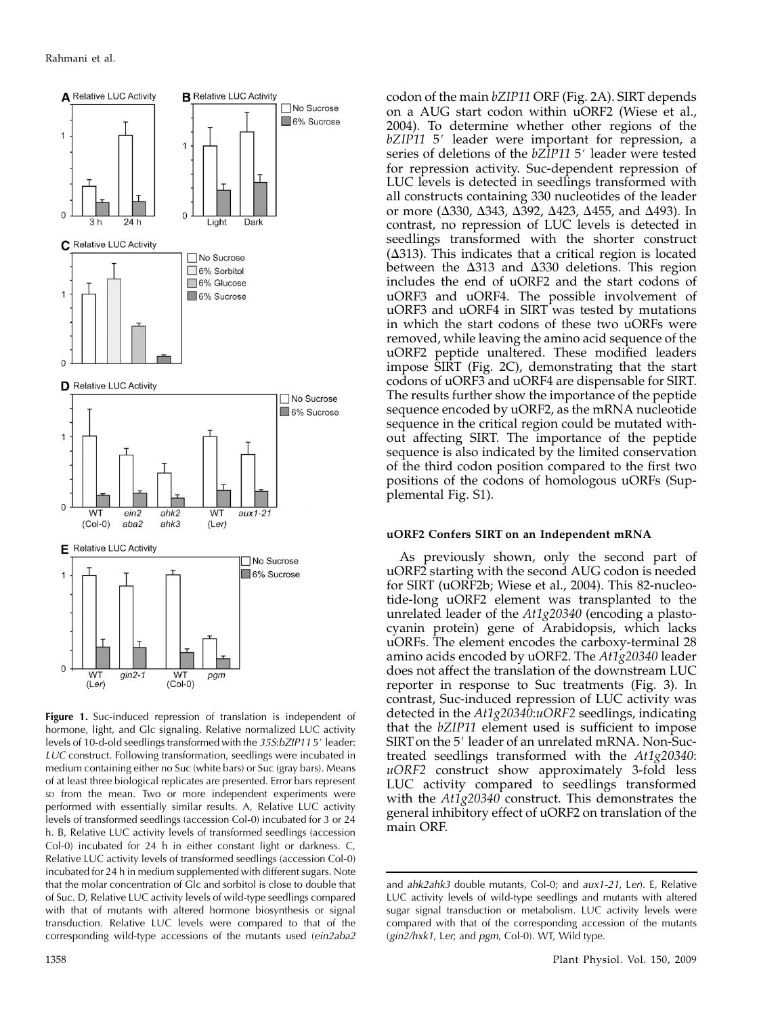

Figure 1. Suc-induced repression of translation is independent of hormone, light, and Glc signaling. Relative normalized LUC activity levels of 10-d-old seedlings transformed with the 35S:bZIP115' leader: LUC construct. Following transformation, seedlings were incubated in medium containing either no Suc (white bars) or Suc (gray bars). Means of at least three biological replicates are presented. Error bars represent SD from the mean. Two or more independent experiments were performed with essentially similar results. A, Relative LUC activity levels of transformed seedlings (accession Col-0) incubated for 3 or 24 h. B, Relative LUC activity levels of transformed seedlings (accession Col-0) incubated for 24 h in either constant light or darkness. C, Relative LUC activity levels of transformed seedlings (accession Col-0) incubated for 24 h in medium supplemented with different sugars. Note that the molar concentration of Glc and sorbitol is close to double that of Suc. D, Relative LUC activity levels of wild-type seedlings compared with that of mutants with altered hormone biosynthesis or signal transduction. Relative LUC levels were compared to that of the corresponding wild-type accessions of the mutants used (ein2aba2

codon of the main bZIP11 ORF (Fig. 2A). SIRT depends on a AUG start codon within uORF2 (Wiese et al., 2004). To determine whether other regions of the bZIP11 5' leader were important for repression, a series of deletions of the bZIP11 5' leader were tested for repression activity. Suc-dependent repression of LUC levels is detected in seedlings transformed with all constructs containing 330 nucleotides of the leader or more ( $\Delta$ 330,  $\Delta$ 343,  $\Delta$ 392,  $\Delta$ 423,  $\Delta$ 455, and  $\Delta$ 493). In contrast, no repression of LUC levels is detected in seedlings transformed with the shorter construct  $(\Delta 313)$ . This indicates that a critical region is located between the  $\Delta$ 313 and  $\Delta$ 330 deletions. This region includes the end of uORF2 and the start codons of uORF3 and uORF4. The possible involvement of uORF3 and uORF4 in SIRT was tested by mutations in which the start codons of these two uORFs were removed, while leaving the amino acid sequence of the uORF2 peptide unaltered. These modified leaders impose SIRT (Fig. 2C), demonstrating that the start codons of uORF3 and uORF4 are dispensable for SIRT. The results further show the importance of the peptide sequence encoded by uORF2, as the mRNA nucleotide sequence in the critical region could be mutated without affecting SIRT. The importance of the peptide sequence is also indicated by the limited conservation of the third codon position compared to the first two positions of the codons of homologous uORFs (Supplemental Fig. S1).

# uORF2 Confers SIRT on an Independent mRNA

As previously shown, only the second part of uORF2 starting with the second AUG codon is needed for SIRT (uORF2b; Wiese et al., 2004). This 82-nucleotide-long uORF2 element was transplanted to the unrelated leader of the  $At1g20340$  (encoding a plastocyanin protein) gene of Arabidopsis, which lacks uORFs. The element encodes the carboxy-terminal 28 amino acids encoded by uORF2. The  $At1g20340$  leader does not affect the translation of the downstream LUC reporter in response to Suc treatments (Fig. 3). In contrast, Suc-induced repression of LUC activity was detected in the At1g20340:uORF2 seedlings, indicating that the bZIP11 element used is sufficient to impose SIRT on the 5' leader of an unrelated mRNA. Non-Suctreated seedlings transformed with the At1g20340: uORF2 construct show approximately 3-fold less LUC activity compared to seedlings transformed with the At1g20340 construct. This demonstrates the general inhibitory effect of uORF2 on translation of the main ORF.

and ahk2ahk3 double mutants, Col-0; and aux1-21, Ler). E, Relative LUC activity levels of wild-type seedlings and mutants with altered sugar signal transduction or metabolism. LUC activity levels were compared with that of the corresponding accession of the mutants (gin2/hxk1, Ler; and pgm, Col-0). WT, Wild type.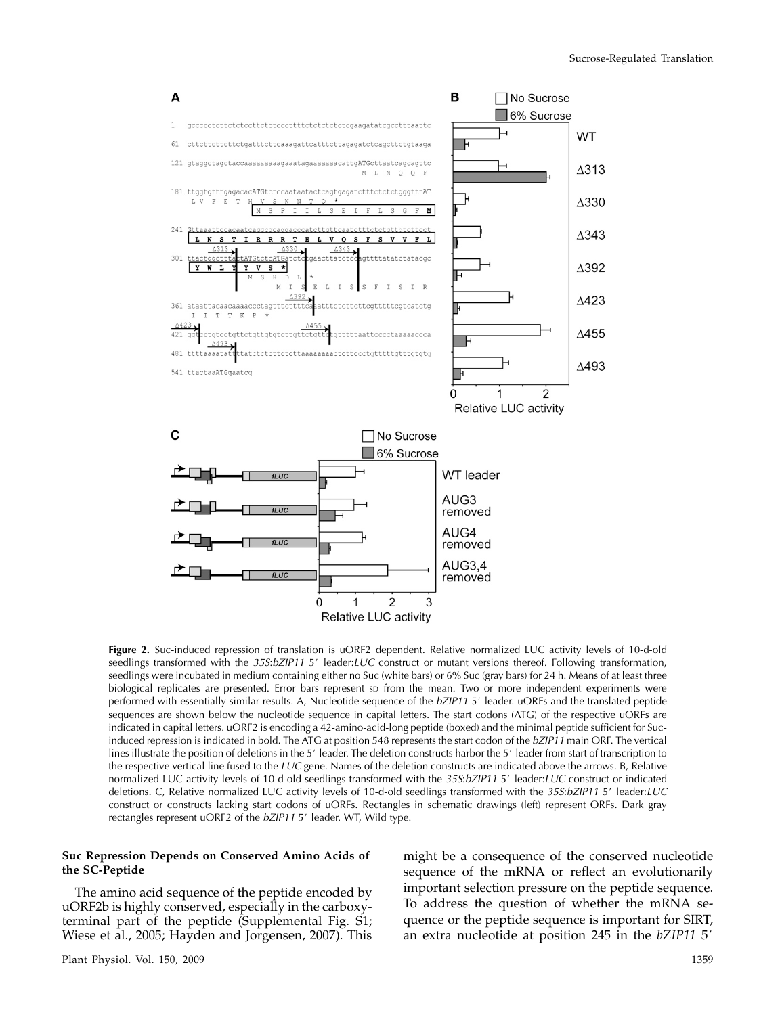

Figure 2. Suc-induced repression of translation is uORF2 dependent. Relative normalized LUC activity levels of 10-d-old seedlings transformed with the 35S:bZIP11 5' leader:LUC construct or mutant versions thereof. Following transformation, seedlings were incubated in medium containing either no Suc (white bars) or 6% Suc (gray bars) for 24 h. Means of at least three biological replicates are presented. Error bars represent sp from the mean. Two or more independent experiments were performed with essentially similar results. A, Nucleotide sequence of the bZIP11 5' leader. uORFs and the translated peptide sequences are shown below the nucleotide sequence in capital letters. The start codons (ATG) of the respective uORFs are indicated in capital letters. uORF2 is encoding a 42-amino-acid-long peptide (boxed) and the minimal peptide sufficient for Sucinduced repression is indicated in bold. The ATG at position 548 represents the start codon of the bZIP11 main ORF. The vertical lines illustrate the position of deletions in the 5' leader. The deletion constructs harbor the 5' leader from start of transcription to the respective vertical line fused to the  $LUC$  gene. Names of the deletion constructs are indicated above the arrows. B, Relative normalized LUC activity levels of 10-d-old seedlings transformed with the 35S:bZIP11 5' leader:LUC construct or indicated deletions. C, Relative normalized LUC activity levels of 10-d-old seedlings transformed with the 35S:bZIP11 5' leader:LUC construct or constructs lacking start codons of uORFs. Rectangles in schematic drawings (left) represent ORFs. Dark gray rectangles represent uORF2 of the bZIP11 5' leader. WT, Wild type.

# Suc Repression Depends on Conserved Amino Acids of the SC-Peptide

The amino acid sequence of the peptide encoded by uORF2b is highly conserved, especially in the carboxyterminal part of the peptide (Supplemental Fig. S1; Wiese et al., 2005; Hayden and Jorgensen, 2007). This

Plant Physiol. Vol. 150, 2009 1359

might be a consequence of the conserved nucleotide sequence of the mRNA or reflect an evolutionarily important selection pressure on the peptide sequence. To address the question of whether the mRNA sequence or the peptide sequence is important for SIRT, an extra nucleotide at position  $245$  in the  $bZIP11$   $5'$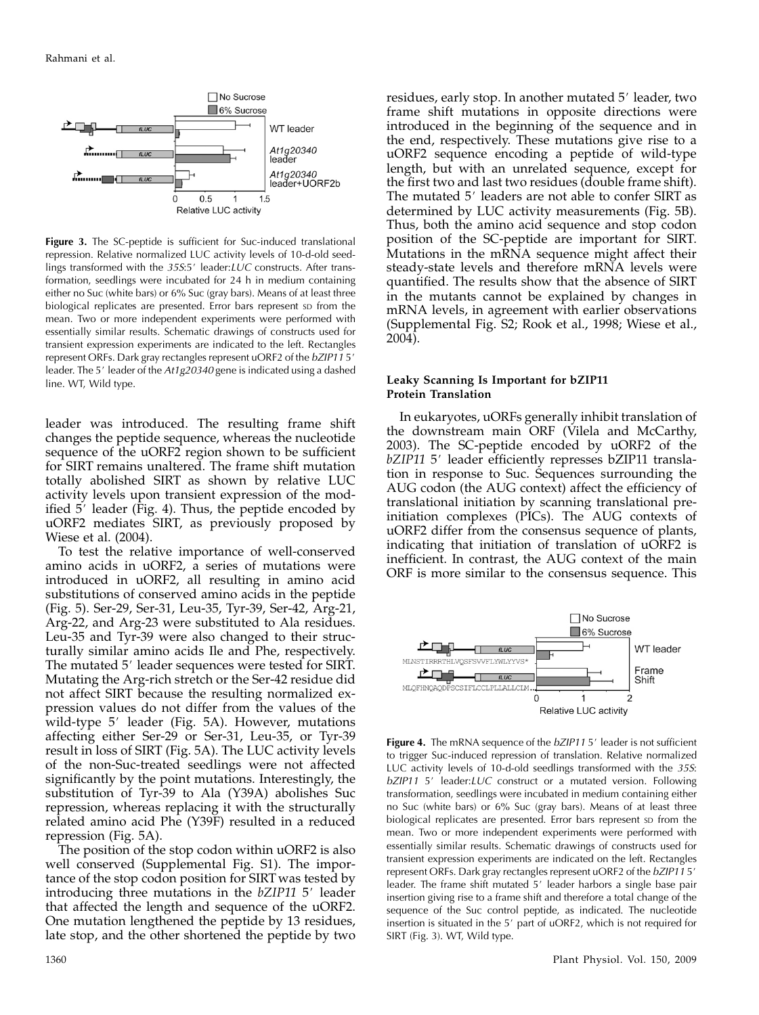

Figure 3. The SC-peptide is sufficient for Suc-induced translational repression. Relative normalized LUC activity levels of 10-d-old seedlings transformed with the  $35S:5'$  leader: $LUC$  constructs. After transformation, seedlings were incubated for 24 h in medium containing either no Suc (white bars) or 6% Suc (gray bars). Means of at least three biological replicates are presented. Error bars represent so from the mean. Two or more independent experiments were performed with essentially similar results. Schematic drawings of constructs used for transient expression experiments are indicated to the left. Rectangles represent ORFs. Dark gray rectangles represent uORF2 of the bZIP115' leader. The 5' leader of the At1g20340 gene is indicated using a dashed line. WT, Wild type.

leader was introduced. The resulting frame shift changes the peptide sequence, whereas the nucleotide sequence of the uORF2 region shown to be sufficient for SIRT remains unaltered. The frame shift mutation totally abolished SIRT as shown by relative LUC activity levels upon transient expression of the modified  $5'$  leader (Fig. 4). Thus, the peptide encoded by uORF2 mediates SIRT, as previously proposed by Wiese et al. (2004).

To test the relative importance of well-conserved amino acids in uORF2, a series of mutations were introduced in uORF2, all resulting in amino acid substitutions of conserved amino acids in the peptide (Fig. 5). Ser-29, Ser-31, Leu-35, Tyr-39, Ser-42, Arg-21, Arg-22, and Arg-23 were substituted to Ala residues. Leu-35 and Tyr-39 were also changed to their structurally similar amino acids Ile and Phe, respectively. The mutated 5' leader sequences were tested for SIRT. Mutating the Arg-rich stretch or the Ser-42 residue did not affect SIRT because the resulting normalized expression values do not differ from the values of the wild-type 5' leader (Fig. 5A). However, mutations affecting either Ser-29 or Ser-31, Leu-35, or Tyr-39 result in loss of SIRT (Fig. 5A). The LUC activity levels of the non-Suc-treated seedlings were not affected significantly by the point mutations. Interestingly, the substitution of Tyr-39 to Ala (Y39A) abolishes Suc repression, whereas replacing it with the structurally related amino acid Phe (Y39F) resulted in a reduced repression (Fig. 5A).

The position of the stop codon within uORF2 is also well conserved (Supplemental Fig. S1). The importance of the stop codon position for SIRT was tested by introducing three mutations in the  $bZIP11\;5'$  leader that affected the length and sequence of the uORF2. One mutation lengthened the peptide by 13 residues, late stop, and the other shortened the peptide by two residues, early stop. In another mutated 5' leader, two frame shift mutations in opposite directions were introduced in the beginning of the sequence and in the end, respectively. These mutations give rise to a uORF2 sequence encoding a peptide of wild-type length, but with an unrelated sequence, except for the first two and last two residues (double frame shift). The mutated 5' leaders are not able to confer SIRT as determined by LUC activity measurements (Fig. 5B). Thus, both the amino acid sequence and stop codon position of the SC-peptide are important for SIRT. Mutations in the mRNA sequence might affect their steady-state levels and therefore mRNA levels were quantified. The results show that the absence of SIRT in the mutants cannot be explained by changes in mRNA levels, in agreement with earlier observations (Supplemental Fig. S2; Rook et al., 1998; Wiese et al., 2004).

## Leaky Scanning Is Important for bZIP11 Protein Translation

In eukaryotes, uORFs generally inhibit translation of the downstream main ORF (Vilela and McCarthy, 2003). The SC-peptide encoded by uORF2 of the bZIP11 5' leader efficiently represses bZIP11 translation in response to Suc. Sequences surrounding the AUG codon (the AUG context) affect the efficiency of translational initiation by scanning translational preinitiation complexes (PICs). The AUG contexts of uORF2 differ from the consensus sequence of plants, indicating that initiation of translation of uORF2 is inefficient. In contrast, the AUG context of the main ORF is more similar to the consensus sequence. This



Figure 4. The mRNA sequence of the bZIP115' leader is not sufficient to trigger Suc-induced repression of translation. Relative normalized LUC activity levels of 10-d-old seedlings transformed with the 35S:  $bZIP11 5'$  leader: $LUC$  construct or a mutated version. Following transformation, seedlings were incubated in medium containing either no Suc (white bars) or 6% Suc (gray bars). Means of at least three biological replicates are presented. Error bars represent sp from the mean. Two or more independent experiments were performed with essentially similar results. Schematic drawings of constructs used for transient expression experiments are indicated on the left. Rectangles represent ORFs. Dark gray rectangles represent uORF2 of the bZIP115' leader. The frame shift mutated 5' leader harbors a single base pair insertion giving rise to a frame shift and therefore a total change of the sequence of the Suc control peptide, as indicated. The nucleotide insertion is situated in the 5' part of uORF2, which is not required for SIRT (Fig. 3). WT, Wild type.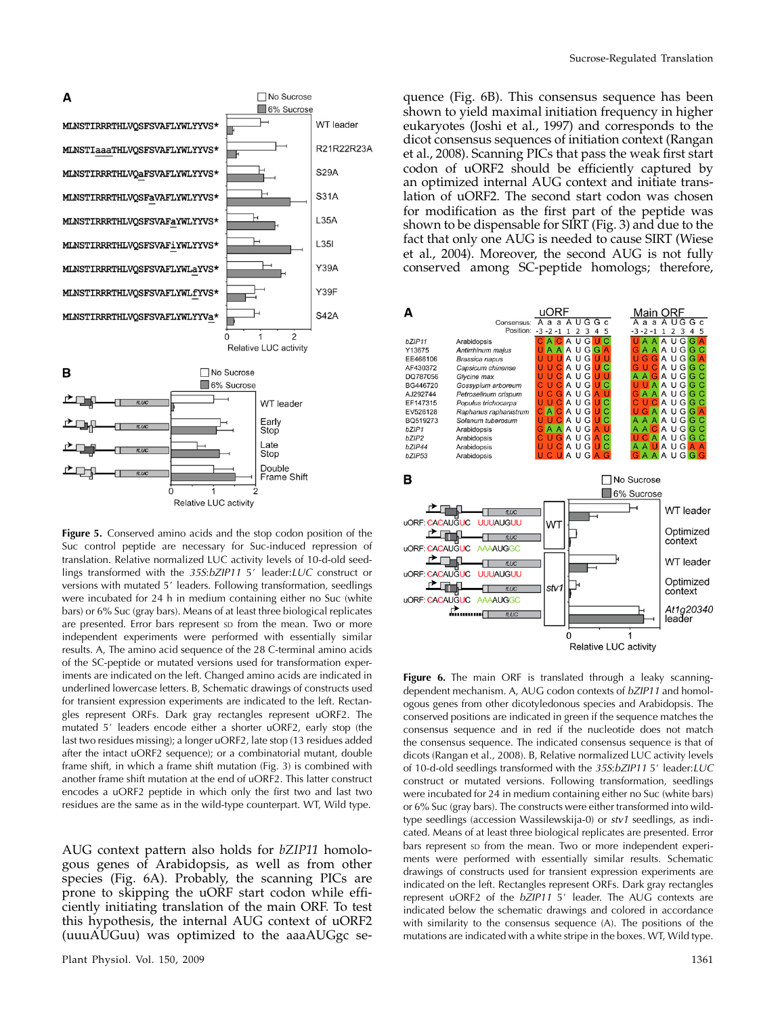

Figure 5. Conserved amino acids and the stop codon position of the Suc control peptide are necessary for Suc-induced repression of translation. Relative normalized LUC activity levels of 10-d-old seedlings transformed with the  $35S:bZIP11 5'$  leader:LUC construct or versions with mutated 5' leaders. Following transformation, seedlings were incubated for 24 h in medium containing either no Suc (white bars) or 6% Suc (gray bars). Means of at least three biological replicates are presented. Error bars represent sp from the mean. Two or more independent experiments were performed with essentially similar results. A, The amino acid sequence of the 28 C-terminal amino acids of the SC-peptide or mutated versions used for transformation experiments are indicated on the left. Changed amino acids are indicated in underlined lowercase letters. B, Schematic drawings of constructs used for transient expression experiments are indicated to the left. Rectangles represent ORFs. Dark gray rectangles represent uORF2. The mutated 5' leaders encode either a shorter uORF2, early stop (the last two residues missing); a longer uORF2, late stop (13 residues added after the intact uORF2 sequence); or a combinatorial mutant, double frame shift, in which a frame shift mutation (Fig. 3) is combined with another frame shift mutation at the end of uORF2. This latter construct encodes a uORF2 peptide in which only the first two and last two residues are the same as in the wild-type counterpart. WT, Wild type.

AUG context pattern also holds for bZIP11 homologous genes of Arabidopsis, as well as from other species (Fig. 6A). Probably, the scanning PICs are prone to skipping the uORF start codon while efficiently initiating translation of the main ORF. To test this hypothesis, the internal AUG context of uORF2 (uuuAUGuu) was optimized to the aaaAUGgc se-

quence (Fig. 6B). This consensus sequence has been shown to yield maximal initiation frequency in higher eukaryotes (Joshi et al., 1997) and corresponds to the dicot consensus sequences of initiation context (Rangan et al., 2008). Scanning PICs that pass the weak first start codon of uORF2 should be efficiently captured by an optimized internal AUG context and initiate translation of uORF2. The second start codon was chosen for modification as the first part of the peptide was shown to be dispensable for SIRT (Fig. 3) and due to the fact that only one AUG is needed to cause SIRT (Wiese et al., 2004). Moreover, the second AUG is not fully conserved among SC-peptide homologs; therefore,



Figure 6. The main ORF is translated through a leaky scanningdependent mechanism. A, AUG codon contexts of bZIP11 and homologous genes from other dicotyledonous species and Arabidopsis. The conserved positions are indicated in green if the sequence matches the consensus sequence and in red if the nucleotide does not match the consensus sequence. The indicated consensus sequence is that of dicots (Rangan et al., 2008). B, Relative normalized LUC activity levels of 10-d-old seedlings transformed with the  $35S:bZIP115'$  leader:LUC construct or mutated versions. Following transformation, seedlings were incubated for 24 in medium containing either no Suc (white bars) or 6% Suc (gray bars). The constructs were either transformed into wildtype seedlings (accession Wassilewskija-0) or stv1 seedlings, as indicated. Means of at least three biological replicates are presented. Error bars represent so from the mean. Two or more independent experiments were performed with essentially similar results. Schematic drawings of constructs used for transient expression experiments are indicated on the left. Rectangles represent ORFs. Dark gray rectangles represent uORF2 of the  $bZIP11$  5' leader. The AUG contexts are indicated below the schematic drawings and colored in accordance with similarity to the consensus sequence (A). The positions of the mutations are indicated with a white stripe in the boxes. WT, Wild type.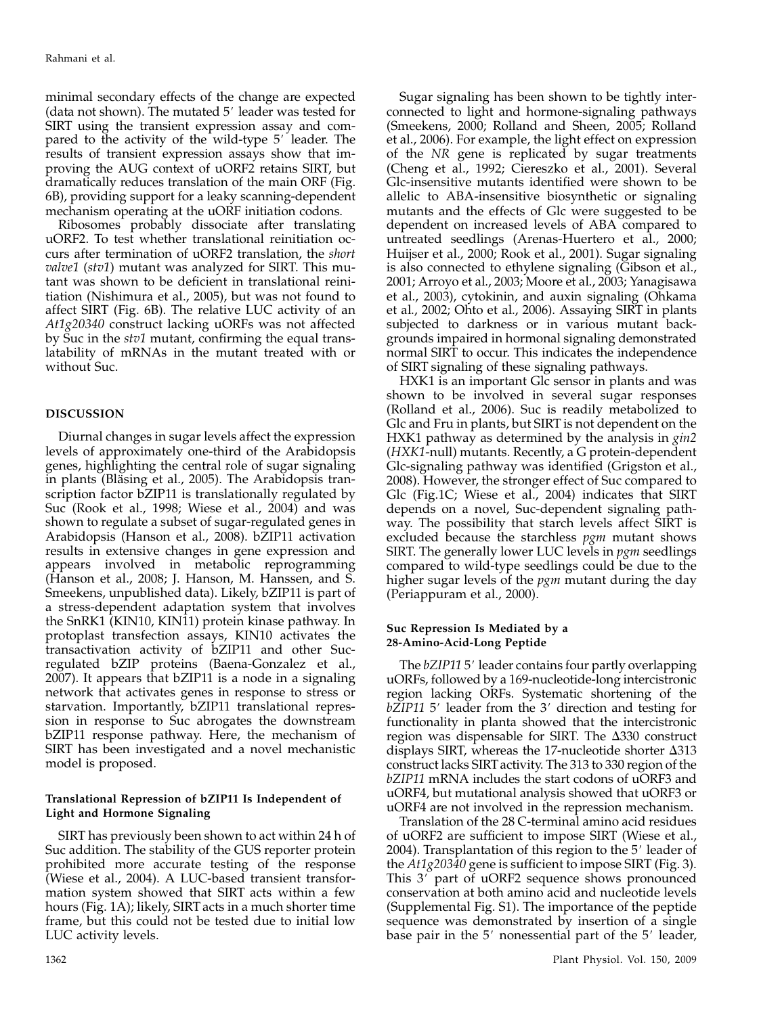minimal secondary effects of the change are expected (data not shown). The mutated  $5'$  leader was tested for SIRT using the transient expression assay and compared to the activity of the wild-type  $5'$  leader. The results of transient expression assays show that improving the AUG context of uORF2 retains SIRT, but dramatically reduces translation of the main ORF (Fig. 6B), providing support for a leaky scanning-dependent mechanism operating at the uORF initiation codons.

Ribosomes probably dissociate after translating uORF2. To test whether translational reinitiation occurs after termination of uORF2 translation, the short valve1 (stv1) mutant was analyzed for SIRT. This mutant was shown to be deficient in translational reinitiation (Nishimura et al., 2005), but was not found to affect SIRT (Fig. 6B). The relative LUC activity of an At1g20340 construct lacking uORFs was not affected by Suc in the stv1 mutant, confirming the equal translatability of mRNAs in the mutant treated with or without Suc.

# DISCUSSION

Diurnal changes in sugar levels affect the expression levels of approximately one-third of the Arabidopsis genes, highlighting the central role of sugar signaling in plants (Bläsing et al., 2005). The Arabidopsis transcription factor bZIP11 is translationally regulated by Suc (Rook et al., 1998; Wiese et al., 2004) and was shown to regulate a subset of sugar-regulated genes in Arabidopsis (Hanson et al., 2008). bZIP11 activation results in extensive changes in gene expression and appears involved in metabolic reprogramming (Hanson et al., 2008; J. Hanson, M. Hanssen, and S. Smeekens, unpublished data). Likely, bZIP11 is part of a stress-dependent adaptation system that involves the SnRK1 (KIN10, KIN11) protein kinase pathway. In protoplast transfection assays, KIN10 activates the transactivation activity of bZIP11 and other Sucregulated bZIP proteins (Baena-Gonzalez et al., 2007). It appears that bZIP11 is a node in a signaling network that activates genes in response to stress or starvation. Importantly, bZIP11 translational repression in response to Suc abrogates the downstream bZIP11 response pathway. Here, the mechanism of SIRT has been investigated and a novel mechanistic model is proposed.

# Translational Repression of bZIP11 Is Independent of Light and Hormone Signaling

SIRT has previously been shown to act within 24 h of Suc addition. The stability of the GUS reporter protein prohibited more accurate testing of the response (Wiese et al., 2004). A LUC-based transient transformation system showed that SIRT acts within a few hours (Fig. 1A); likely, SIRT acts in a much shorter time frame, but this could not be tested due to initial low LUC activity levels.

Sugar signaling has been shown to be tightly interconnected to light and hormone-signaling pathways (Smeekens, 2000; Rolland and Sheen, 2005; Rolland et al., 2006). For example, the light effect on expression of the NR gene is replicated by sugar treatments (Cheng et al., 1992; Ciereszko et al., 2001). Several Glc-insensitive mutants identified were shown to be allelic to ABA-insensitive biosynthetic or signaling mutants and the effects of Glc were suggested to be dependent on increased levels of ABA compared to untreated seedlings (Arenas-Huertero et al., 2000; Huijser et al., 2000; Rook et al., 2001). Sugar signaling is also connected to ethylene signaling (Gibson et al., 2001; Arroyo et al., 2003; Moore et al., 2003; Yanagisawa et al., 2003), cytokinin, and auxin signaling (Ohkama et al., 2002; Ohto et al., 2006). Assaying SIRT in plants subjected to darkness or in various mutant backgrounds impaired in hormonal signaling demonstrated normal SIRT to occur. This indicates the independence of SIRT signaling of these signaling pathways.

HXK1 is an important Glc sensor in plants and was shown to be involved in several sugar responses (Rolland et al., 2006). Suc is readily metabolized to Glc and Fru in plants, but SIRT is not dependent on the HXK1 pathway as determined by the analysis in *gin2* (HXK1-null) mutants. Recently, a G protein-dependent Glc-signaling pathway was identified (Grigston et al., 2008). However, the stronger effect of Suc compared to Glc (Fig.1C; Wiese et al., 2004) indicates that SIRT depends on a novel, Suc-dependent signaling pathway. The possibility that starch levels affect SIRT is excluded because the starchless pgm mutant shows SIRT. The generally lower LUC levels in pgm seedlings compared to wild-type seedlings could be due to the higher sugar levels of the *pgm* mutant during the day (Periappuram et al., 2000).

# Suc Repression Is Mediated by a 28-Amino-Acid-Long Peptide

The bZIP11 5' leader contains four partly overlapping uORFs, followed by a 169-nucleotide-long intercistronic region lacking ORFs. Systematic shortening of the bZIP11 5' leader from the 3' direction and testing for functionality in planta showed that the intercistronic region was dispensable for SIRT. The  $\Delta$ 330 construct displays SIRT, whereas the 17-nucleotide shorter  $\Delta$ 313 construct lacks SIRT activity. The 313 to 330 region of the bZIP11 mRNA includes the start codons of uORF3 and uORF4, but mutational analysis showed that uORF3 or uORF4 are not involved in the repression mechanism.

Translation of the 28 C-terminal amino acid residues of uORF2 are sufficient to impose SIRT (Wiese et al., 2004). Transplantation of this region to the 5' leader of the  $At1g20340$  gene is sufficient to impose SIRT (Fig. 3). This 3' part of uORF2 sequence shows pronounced conservation at both amino acid and nucleotide levels (Supplemental Fig. S1). The importance of the peptide sequence was demonstrated by insertion of a single base pair in the 5' nonessential part of the 5' leader,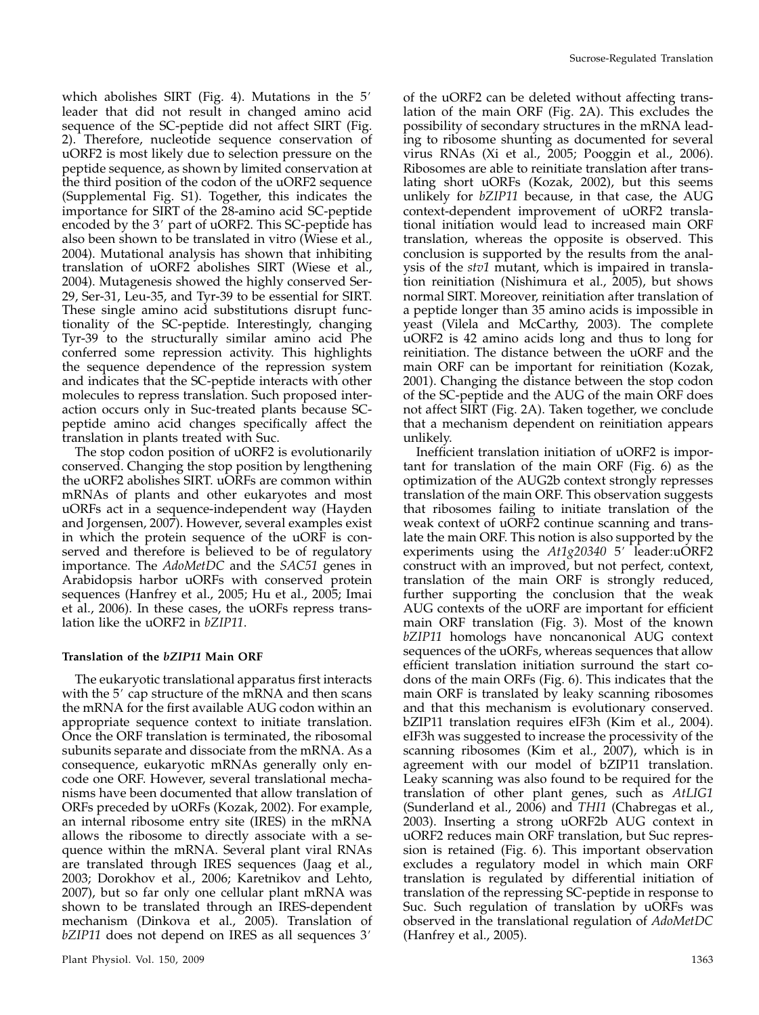which abolishes SIRT (Fig. 4). Mutations in the  $5'$ leader that did not result in changed amino acid sequence of the SC-peptide did not affect SIRT (Fig. 2). Therefore, nucleotide sequence conservation of uORF2 is most likely due to selection pressure on the peptide sequence, as shown by limited conservation at the third position of the codon of the uORF2 sequence (Supplemental Fig. S1). Together, this indicates the importance for SIRT of the 28-amino acid SC-peptide encoded by the  $3'$  part of uORF2. This SC-peptide has also been shown to be translated in vitro (Wiese et al., 2004). Mutational analysis has shown that inhibiting translation of uORF2 abolishes SIRT (Wiese et al., 2004). Mutagenesis showed the highly conserved Ser-29, Ser-31, Leu-35, and Tyr-39 to be essential for SIRT. These single amino acid substitutions disrupt functionality of the SC-peptide. Interestingly, changing Tyr-39 to the structurally similar amino acid Phe conferred some repression activity. This highlights the sequence dependence of the repression system and indicates that the SC-peptide interacts with other molecules to repress translation. Such proposed interaction occurs only in Suc-treated plants because SCpeptide amino acid changes specifically affect the translation in plants treated with Suc.

The stop codon position of uORF2 is evolutionarily conserved. Changing the stop position by lengthening the uORF2 abolishes SIRT. uORFs are common within mRNAs of plants and other eukaryotes and most uORFs act in a sequence-independent way (Hayden and Jorgensen, 2007). However, several examples exist in which the protein sequence of the uORF is conserved and therefore is believed to be of regulatory importance. The AdoMetDC and the SAC51 genes in Arabidopsis harbor uORFs with conserved protein sequences (Hanfrey et al., 2005; Hu et al., 2005; Imai et al., 2006). In these cases, the uORFs repress translation like the uORF2 in bZIP11.

# Translation of the bZIP11 Main ORF

The eukaryotic translational apparatus first interacts with the 5' cap structure of the mRNA and then scans the mRNA for the first available AUG codon within an appropriate sequence context to initiate translation. Once the ORF translation is terminated, the ribosomal subunits separate and dissociate from the mRNA. As a consequence, eukaryotic mRNAs generally only encode one ORF. However, several translational mechanisms have been documented that allow translation of ORFs preceded by uORFs (Kozak, 2002). For example, an internal ribosome entry site (IRES) in the mRNA allows the ribosome to directly associate with a sequence within the mRNA. Several plant viral RNAs are translated through IRES sequences (Jaag et al., 2003; Dorokhov et al., 2006; Karetnikov and Lehto, 2007), but so far only one cellular plant mRNA was shown to be translated through an IRES-dependent mechanism (Dinkova et al., 2005). Translation of  $bZIP11$  does not depend on IRES as all sequences  $3'$ 

of the uORF2 can be deleted without affecting translation of the main ORF (Fig. 2A). This excludes the possibility of secondary structures in the mRNA leading to ribosome shunting as documented for several virus RNAs (Xi et al., 2005; Pooggin et al., 2006). Ribosomes are able to reinitiate translation after translating short uORFs (Kozak, 2002), but this seems unlikely for bZIP11 because, in that case, the AUG context-dependent improvement of uORF2 translational initiation would lead to increased main ORF translation, whereas the opposite is observed. This conclusion is supported by the results from the analysis of the stv1 mutant, which is impaired in translation reinitiation (Nishimura et al., 2005), but shows normal SIRT. Moreover, reinitiation after translation of a peptide longer than 35 amino acids is impossible in yeast (Vilela and McCarthy, 2003). The complete uORF2 is 42 amino acids long and thus to long for reinitiation. The distance between the uORF and the main ORF can be important for reinitiation (Kozak, 2001). Changing the distance between the stop codon of the SC-peptide and the AUG of the main ORF does not affect SIRT (Fig. 2A). Taken together, we conclude that a mechanism dependent on reinitiation appears unlikely.

Inefficient translation initiation of uORF2 is important for translation of the main ORF (Fig. 6) as the optimization of the AUG2b context strongly represses translation of the main ORF. This observation suggests that ribosomes failing to initiate translation of the weak context of uORF2 continue scanning and translate the main ORF. This notion is also supported by the experiments using the  $At1g20340$  5' leader:uORF2 construct with an improved, but not perfect, context, translation of the main ORF is strongly reduced, further supporting the conclusion that the weak AUG contexts of the uORF are important for efficient main ORF translation (Fig. 3). Most of the known bZIP11 homologs have noncanonical AUG context sequences of the uORFs, whereas sequences that allow efficient translation initiation surround the start codons of the main ORFs (Fig. 6). This indicates that the main ORF is translated by leaky scanning ribosomes and that this mechanism is evolutionary conserved. bZIP11 translation requires eIF3h (Kim et al., 2004). eIF3h was suggested to increase the processivity of the scanning ribosomes (Kim et al., 2007), which is in agreement with our model of bZIP11 translation. Leaky scanning was also found to be required for the translation of other plant genes, such as AtLIG1 (Sunderland et al., 2006) and THI1 (Chabregas et al., 2003). Inserting a strong uORF2b AUG context in uORF2 reduces main ORF translation, but Suc repression is retained (Fig. 6). This important observation excludes a regulatory model in which main ORF translation is regulated by differential initiation of translation of the repressing SC-peptide in response to Suc. Such regulation of translation by uORFs was observed in the translational regulation of AdoMetDC (Hanfrey et al., 2005).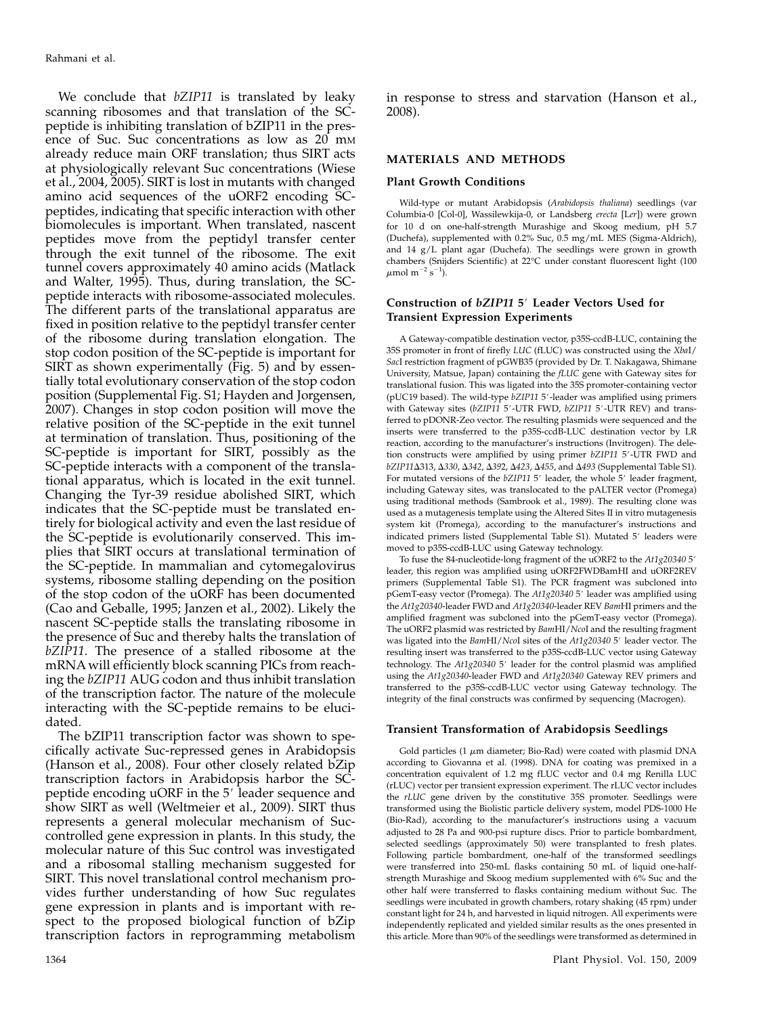We conclude that bZIP11 is translated by leaky scanning ribosomes and that translation of the SCpeptide is inhibiting translation of bZIP11 in the presence of Suc. Suc concentrations as low as 20 mm already reduce main ORF translation; thus SIRT acts at physiologically relevant Suc concentrations (Wiese et al., 2004, 2005). SIRT is lost in mutants with changed amino acid sequences of the uORF2 encoding SCpeptides, indicating that specific interaction with other biomolecules is important. When translated, nascent peptides move from the peptidyl transfer center through the exit tunnel of the ribosome. The exit tunnel covers approximately 40 amino acids (Matlack and Walter, 1995). Thus, during translation, the SCpeptide interacts with ribosome-associated molecules. The different parts of the translational apparatus are fixed in position relative to the peptidyl transfer center of the ribosome during translation elongation. The stop codon position of the SC-peptide is important for SIRT as shown experimentally (Fig. 5) and by essentially total evolutionary conservation of the stop codon position (Supplemental Fig. S1; Hayden and Jorgensen, 2007). Changes in stop codon position will move the relative position of the SC-peptide in the exit tunnel at termination of translation. Thus, positioning of the SC-peptide is important for SIRT, possibly as the SC-peptide interacts with a component of the translational apparatus, which is located in the exit tunnel. Changing the Tyr-39 residue abolished SIRT, which indicates that the SC-peptide must be translated entirely for biological activity and even the last residue of the SC-peptide is evolutionarily conserved. This implies that SIRT occurs at translational termination of the SC-peptide. In mammalian and cytomegalovirus systems, ribosome stalling depending on the position of the stop codon of the uORF has been documented (Cao and Geballe, 1995; Janzen et al., 2002). Likely the nascent SC-peptide stalls the translating ribosome in the presence of Suc and thereby halts the translation of bZIP11. The presence of a stalled ribosome at the mRNA will efficiently block scanning PICs from reaching the bZIP11 AUG codon and thus inhibit translation of the transcription factor. The nature of the molecule interacting with the SC-peptide remains to be elucidated.

The bZIP11 transcription factor was shown to specifically activate Suc-repressed genes in Arabidopsis (Hanson et al., 2008). Four other closely related bZip transcription factors in Arabidopsis harbor the SCpeptide encoding uORF in the 5' leader sequence and show SIRT as well (Weltmeier et al., 2009). SIRT thus represents a general molecular mechanism of Succontrolled gene expression in plants. In this study, the molecular nature of this Suc control was investigated and a ribosomal stalling mechanism suggested for SIRT. This novel translational control mechanism provides further understanding of how Suc regulates gene expression in plants and is important with respect to the proposed biological function of bZip transcription factors in reprogramming metabolism in response to stress and starvation (Hanson et al., 2008).

### MATERIALS AND METHODS

#### Plant Growth Conditions

Wild-type or mutant Arabidopsis (Arabidopsis thaliana) seedlings (var Columbia-0 [Col-0], Wassilewkija-0, or Landsberg erecta [Ler]) were grown for 10 d on one-half-strength Murashige and Skoog medium, pH 5.7 (Duchefa), supplemented with 0.2% Suc, 0.5 mg/mL MES (Sigma-Aldrich), and 14 g/L plant agar (Duchefa). The seedlings were grown in growth chambers (Snijders Scientific) at 22°C under constant fluorescent light (100  $\mu$ mol m $^{-2}$  s $^{-1}$ ).

### Construction of bZIP11 5' Leader Vectors Used for Transient Expression Experiments

A Gateway-compatible destination vector, p35S-ccdB-LUC, containing the 35S promoter in front of firefly LUC (fLUC) was constructed using the XbaI/ SacI restriction fragment of pGWB35 (provided by Dr. T. Nakagawa, Shimane University, Matsue, Japan) containing the fLUC gene with Gateway sites for translational fusion. This was ligated into the 35S promoter-containing vector (pUC19 based). The wild-type bZIP11 5'-leader was amplified using primers with Gateway sites (bZIP11 5'-UTR FWD, bZIP11 5'-UTR REV) and transferred to pDONR-Zeo vector. The resulting plasmids were sequenced and the inserts were transferred to the p35S-ccdB-LUC destination vector by LR reaction, according to the manufacturer's instructions (Invitrogen). The deletion constructs were amplified by using primer bZIP11 5'-UTR FWD and bZIP11△313, △330, △342, △392, △423, △455, and △493 (Supplemental Table S1). For mutated versions of the bZIP11 5' leader, the whole 5' leader fragment, including Gateway sites, was translocated to the pALTER vector (Promega) using traditional methods (Sambrook et al., 1989). The resulting clone was used as a mutagenesis template using the Altered Sites II in vitro mutagenesis system kit (Promega), according to the manufacturer's instructions and indicated primers listed (Supplemental Table S1). Mutated 5' leaders were moved to p35S-ccdB-LUC using Gateway technology.

To fuse the 84-nucleotide-long fragment of the uORF2 to the  $At1g20340\,5'$ leader, this region was amplified using uORF2FWDBamHI and uORF2REV primers (Supplemental Table S1). The PCR fragment was subcloned into pGemT-easy vector (Promega). The At1g20340 5' leader was amplified using the At1g20340-leader FWD and At1g20340-leader REV BamHI primers and the amplified fragment was subcloned into the pGemT-easy vector (Promega). The uORF2 plasmid was restricted by BamHI/NcoI and the resulting fragment was ligated into the BamHI/NcoI sites of the At1g20340 5' leader vector. The resulting insert was transferred to the p35S-ccdB-LUC vector using Gateway technology. The  $At1g20340$  5' leader for the control plasmid was amplified using the At1g20340-leader FWD and At1g20340 Gateway REV primers and transferred to the p35S-ccdB-LUC vector using Gateway technology. The integrity of the final constructs was confirmed by sequencing (Macrogen).

#### Transient Transformation of Arabidopsis Seedlings

Gold particles (1  $\mu$ m diameter; Bio-Rad) were coated with plasmid DNA according to Giovanna et al. (1998). DNA for coating was premixed in a concentration equivalent of 1.2 mg fLUC vector and 0.4 mg Renilla LUC (rLUC) vector per transient expression experiment. The rLUC vector includes the rLUC gene driven by the constitutive 35S promoter. Seedlings were transformed using the Biolistic particle delivery system, model PDS-1000 He (Bio-Rad), according to the manufacturer's instructions using a vacuum adjusted to 28 Pa and 900-psi rupture discs. Prior to particle bombardment, selected seedlings (approximately 50) were transplanted to fresh plates. Following particle bombardment, one-half of the transformed seedlings were transferred into 250-mL flasks containing 50 mL of liquid one-halfstrength Murashige and Skoog medium supplemented with 6% Suc and the other half were transferred to flasks containing medium without Suc. The seedlings were incubated in growth chambers, rotary shaking (45 rpm) under constant light for 24 h, and harvested in liquid nitrogen. All experiments were independently replicated and yielded similar results as the ones presented in this article. More than 90% of the seedlings were transformed as determined in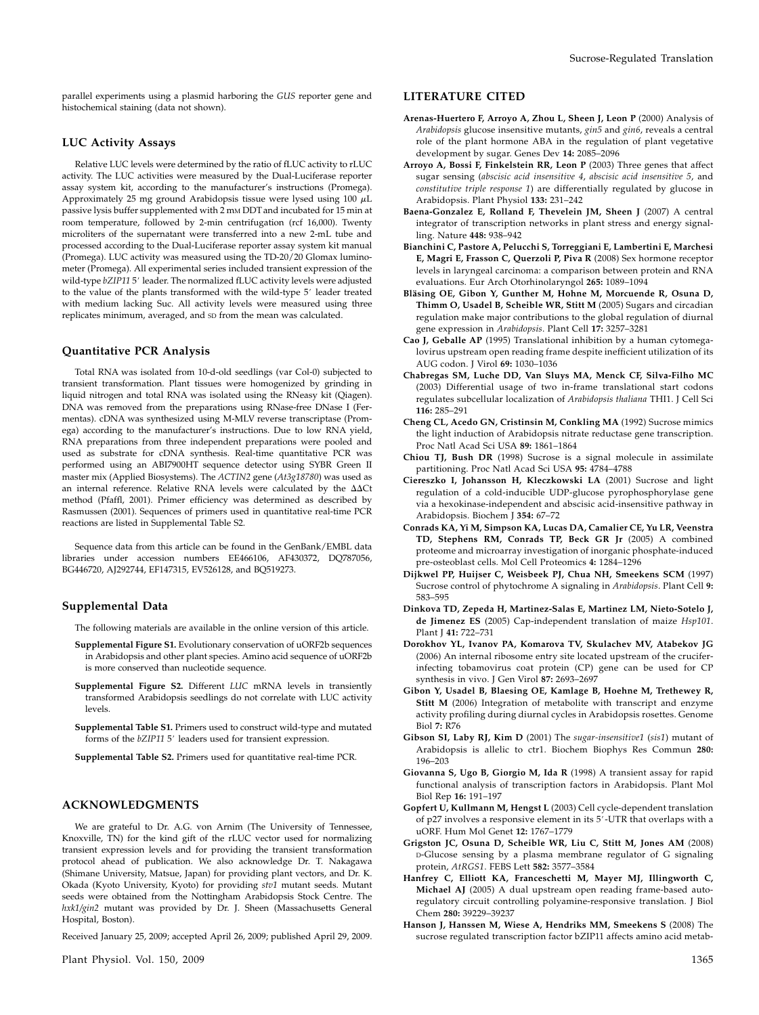parallel experiments using a plasmid harboring the GUS reporter gene and histochemical staining (data not shown).

### LUC Activity Assays

Relative LUC levels were determined by the ratio of fLUC activity to rLUC activity. The LUC activities were measured by the Dual-Luciferase reporter assay system kit, according to the manufacturer's instructions (Promega). Approximately 25 mg ground Arabidopsis tissue were lysed using 100  $\mu$ L passive lysis buffer supplemented with 2 mm DDT and incubated for 15 min at room temperature, followed by 2-min centrifugation (rcf 16,000). Twenty microliters of the supernatant were transferred into a new 2-mL tube and processed according to the Dual-Luciferase reporter assay system kit manual (Promega). LUC activity was measured using the TD-20/20 Glomax luminometer (Promega). All experimental series included transient expression of the wild-type bZIP11 5' leader. The normalized fLUC activity levels were adjusted to the value of the plants transformed with the wild-type 5' leader treated with medium lacking Suc. All activity levels were measured using three replicates minimum, averaged, and SD from the mean was calculated.

### Quantitative PCR Analysis

Total RNA was isolated from 10-d-old seedlings (var Col-0) subjected to transient transformation. Plant tissues were homogenized by grinding in liquid nitrogen and total RNA was isolated using the RNeasy kit (Qiagen). DNA was removed from the preparations using RNase-free DNase I (Fermentas). cDNA was synthesized using M-MLV reverse transcriptase (Promega) according to the manufacturer's instructions. Due to low RNA yield, RNA preparations from three independent preparations were pooled and used as substrate for cDNA synthesis. Real-time quantitative PCR was performed using an ABI7900HT sequence detector using SYBR Green II master mix (Applied Biosystems). The ACTIN2 gene (At3g18780) was used as an internal reference. Relative RNA levels were calculated by the  $\Delta\Delta\mathrm{C}t$ method (Pfaffl, 2001). Primer efficiency was determined as described by Rasmussen (2001). Sequences of primers used in quantitative real-time PCR reactions are listed in Supplemental Table S2.

Sequence data from this article can be found in the GenBank/EMBL data libraries under accession numbers EE466106, AF430372, DQ787056, BG446720, AJ292744, EF147315, EV526128, and BQ519273.

### Supplemental Data

The following materials are available in the online version of this article.

- Supplemental Figure S1. Evolutionary conservation of uORF2b sequences in Arabidopsis and other plant species. Amino acid sequence of uORF2b is more conserved than nucleotide sequence.
- Supplemental Figure S2. Different LUC mRNA levels in transiently transformed Arabidopsis seedlings do not correlate with LUC activity levels.
- Supplemental Table S1. Primers used to construct wild-type and mutated forms of the bZIP11 5' leaders used for transient expression.

Supplemental Table S2. Primers used for quantitative real-time PCR.

### ACKNOWLEDGMENTS

We are grateful to Dr. A.G. von Arnim (The University of Tennessee, Knoxville, TN) for the kind gift of the rLUC vector used for normalizing transient expression levels and for providing the transient transformation protocol ahead of publication. We also acknowledge Dr. T. Nakagawa (Shimane University, Matsue, Japan) for providing plant vectors, and Dr. K. Okada (Kyoto University, Kyoto) for providing stv1 mutant seeds. Mutant seeds were obtained from the Nottingham Arabidopsis Stock Centre. The hxk1/gin2 mutant was provided by Dr. J. Sheen (Massachusetts General Hospital, Boston).

Received January 25, 2009; accepted April 26, 2009; published April 29, 2009.

Plant Physiol. Vol. 150, 2009 1365

# LITERATURE CITED

- Arenas-Huertero F, Arroyo A, Zhou L, Sheen J, Leon P (2000) Analysis of Arabidopsis glucose insensitive mutants, gin5 and gin6, reveals a central role of the plant hormone ABA in the regulation of plant vegetative development by sugar. Genes Dev 14: 2085–2096
- Arroyo A, Bossi F, Finkelstein RR, Leon P (2003) Three genes that affect sugar sensing (abscisic acid insensitive 4, abscisic acid insensitive 5, and constitutive triple response 1) are differentially regulated by glucose in Arabidopsis. Plant Physiol 133: 231–242
- Baena-Gonzalez E, Rolland F, Thevelein JM, Sheen J (2007) A central integrator of transcription networks in plant stress and energy signalling. Nature 448: 938–942
- Bianchini C, Pastore A, Pelucchi S, Torreggiani E, Lambertini E, Marchesi E, Magri E, Frasson C, Querzoli P, Piva R (2008) Sex hormone receptor levels in laryngeal carcinoma: a comparison between protein and RNA evaluations. Eur Arch Otorhinolaryngol 265: 1089–1094
- Bläsing OE, Gibon Y, Gunther M, Hohne M, Morcuende R, Osuna D, Thimm O, Usadel B, Scheible WR, Stitt M (2005) Sugars and circadian regulation make major contributions to the global regulation of diurnal gene expression in Arabidopsis. Plant Cell 17: 3257–3281
- Cao J, Geballe AP (1995) Translational inhibition by a human cytomegalovirus upstream open reading frame despite inefficient utilization of its AUG codon. J Virol 69: 1030–1036
- Chabregas SM, Luche DD, Van Sluys MA, Menck CF, Silva-Filho MC (2003) Differential usage of two in-frame translational start codons regulates subcellular localization of Arabidopsis thaliana THI1. J Cell Sci 116: 285–291
- Cheng CL, Acedo GN, Cristinsin M, Conkling MA (1992) Sucrose mimics the light induction of Arabidopsis nitrate reductase gene transcription. Proc Natl Acad Sci USA 89: 1861–1864
- Chiou TJ, Bush DR (1998) Sucrose is a signal molecule in assimilate partitioning. Proc Natl Acad Sci USA 95: 4784–4788
- Ciereszko I, Johansson H, Kleczkowski LA (2001) Sucrose and light regulation of a cold-inducible UDP-glucose pyrophosphorylase gene via a hexokinase-independent and abscisic acid-insensitive pathway in Arabidopsis. Biochem J 354: 67–72
- Conrads KA, Yi M, Simpson KA, Lucas DA, Camalier CE, Yu LR, Veenstra TD, Stephens RM, Conrads TP, Beck GR Jr (2005) A combined proteome and microarray investigation of inorganic phosphate-induced pre-osteoblast cells. Mol Cell Proteomics 4: 1284–1296
- Dijkwel PP, Huijser C, Weisbeek PJ, Chua NH, Smeekens SCM (1997) Sucrose control of phytochrome A signaling in Arabidopsis. Plant Cell 9: 583–595
- Dinkova TD, Zepeda H, Martinez-Salas E, Martinez LM, Nieto-Sotelo J, de Jimenez ES (2005) Cap-independent translation of maize Hsp101. Plant J 41: 722-731
- Dorokhov YL, Ivanov PA, Komarova TV, Skulachev MV, Atabekov JG (2006) An internal ribosome entry site located upstream of the cruciferinfecting tobamovirus coat protein (CP) gene can be used for CP synthesis in vivo. J Gen Virol 87: 2693–2697
- Gibon Y, Usadel B, Blaesing OE, Kamlage B, Hoehne M, Trethewey R, Stitt M (2006) Integration of metabolite with transcript and enzyme activity profiling during diurnal cycles in Arabidopsis rosettes. Genome Biol 7: R76
- Gibson SI, Laby RJ, Kim D (2001) The sugar-insensitive1 (sis1) mutant of Arabidopsis is allelic to ctr1. Biochem Biophys Res Commun 280: 196–203
- Giovanna S, Ugo B, Giorgio M, Ida R (1998) A transient assay for rapid functional analysis of transcription factors in Arabidopsis. Plant Mol Biol Rep 16: 191–197
- Gopfert U, Kullmann M, Hengst L (2003) Cell cycle-dependent translation of p27 involves a responsive element in its  $5'$ -UTR that overlaps with a uORF. Hum Mol Genet 12: 1767–1779
- Grigston JC, Osuna D, Scheible WR, Liu C, Stitt M, Jones AM (2008) D-Glucose sensing by a plasma membrane regulator of G signaling protein, AtRGS1. FEBS Lett 582: 3577–3584
- Hanfrey C, Elliott KA, Franceschetti M, Mayer MJ, Illingworth C, Michael AJ (2005) A dual upstream open reading frame-based autoregulatory circuit controlling polyamine-responsive translation. J Biol Chem 280: 39229–39237
- Hanson J, Hanssen M, Wiese A, Hendriks MM, Smeekens S (2008) The sucrose regulated transcription factor bZIP11 affects amino acid metab-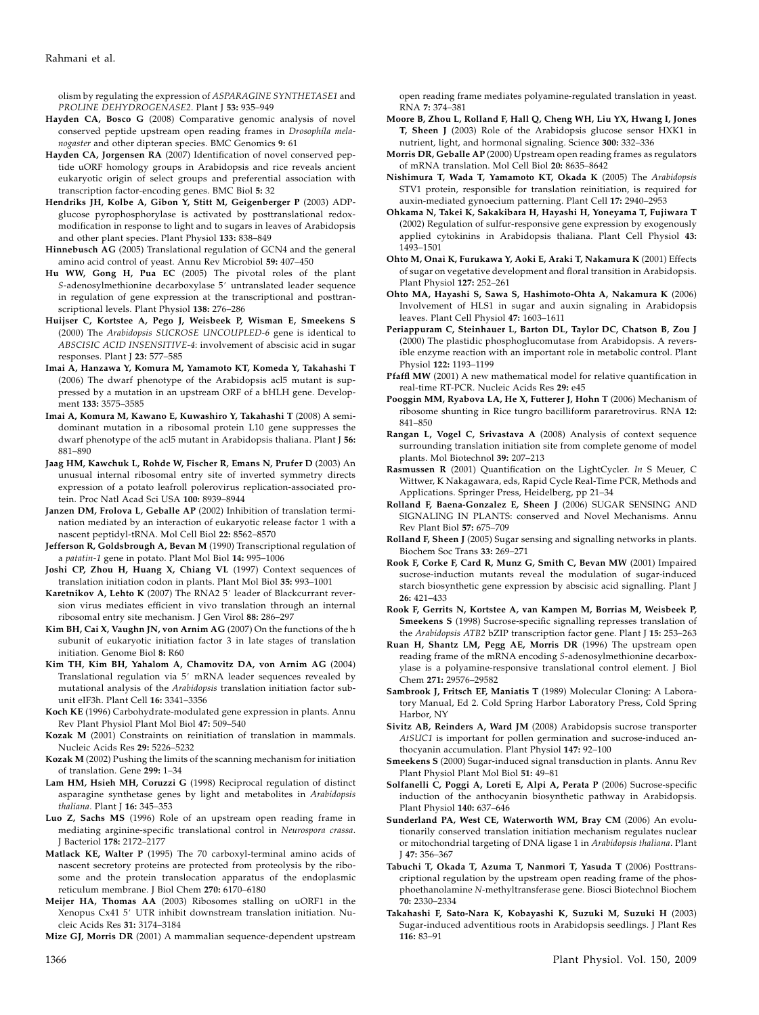olism by regulating the expression of ASPARAGINE SYNTHETASE1 and PROLINE DEHYDROGENASE2. Plant J 53: 935-949

- Hayden CA, Bosco G (2008) Comparative genomic analysis of novel conserved peptide upstream open reading frames in Drosophila melanogaster and other dipteran species. BMC Genomics 9: 61
- Hayden CA, Jorgensen RA (2007) Identification of novel conserved peptide uORF homology groups in Arabidopsis and rice reveals ancient eukaryotic origin of select groups and preferential association with transcription factor-encoding genes. BMC Biol 5: 32
- Hendriks JH, Kolbe A, Gibon Y, Stitt M, Geigenberger P (2003) ADPglucose pyrophosphorylase is activated by posttranslational redoxmodification in response to light and to sugars in leaves of Arabidopsis and other plant species. Plant Physiol 133: 838–849
- Hinnebusch AG (2005) Translational regulation of GCN4 and the general amino acid control of yeast. Annu Rev Microbiol 59: 407–450
- Hu WW, Gong H, Pua EC (2005) The pivotal roles of the plant S-adenosylmethionine decarboxylase 5' untranslated leader sequence in regulation of gene expression at the transcriptional and posttranscriptional levels. Plant Physiol 138: 276–286
- Huijser C, Kortstee A, Pego J, Weisbeek P, Wisman E, Smeekens S (2000) The Arabidopsis SUCROSE UNCOUPLED-6 gene is identical to ABSCISIC ACID INSENSITIVE-4: involvement of abscisic acid in sugar responses. Plant J 23: 577–585
- Imai A, Hanzawa Y, Komura M, Yamamoto KT, Komeda Y, Takahashi T (2006) The dwarf phenotype of the Arabidopsis acl5 mutant is suppressed by a mutation in an upstream ORF of a bHLH gene. Development 133: 3575–3585
- Imai A, Komura M, Kawano E, Kuwashiro Y, Takahashi T (2008) A semidominant mutation in a ribosomal protein L10 gene suppresses the dwarf phenotype of the acl5 mutant in Arabidopsis thaliana. Plant J 56: 881–890
- Jaag HM, Kawchuk L, Rohde W, Fischer R, Emans N, Prufer D (2003) An unusual internal ribosomal entry site of inverted symmetry directs expression of a potato leafroll polerovirus replication-associated protein. Proc Natl Acad Sci USA 100: 8939–8944
- Janzen DM, Frolova L, Geballe AP (2002) Inhibition of translation termination mediated by an interaction of eukaryotic release factor 1 with a nascent peptidyl-tRNA. Mol Cell Biol 22: 8562–8570
- Jefferson R, Goldsbrough A, Bevan M (1990) Transcriptional regulation of a patatin-1 gene in potato. Plant Mol Biol 14: 995–1006
- Joshi CP, Zhou H, Huang X, Chiang VL (1997) Context sequences of translation initiation codon in plants. Plant Mol Biol 35: 993–1001
- Karetnikov A, Lehto K (2007) The RNA2 5' leader of Blackcurrant reversion virus mediates efficient in vivo translation through an internal ribosomal entry site mechanism. J Gen Virol 88: 286–297
- Kim BH, Cai X, Vaughn JN, von Arnim AG (2007) On the functions of the h subunit of eukaryotic initiation factor 3 in late stages of translation initiation. Genome Biol 8: R60
- Kim TH, Kim BH, Yahalom A, Chamovitz DA, von Arnim AG (2004) Translational regulation via 5' mRNA leader sequences revealed by mutational analysis of the Arabidopsis translation initiation factor subunit eIF3h. Plant Cell 16: 3341–3356
- Koch KE (1996) Carbohydrate-modulated gene expression in plants. Annu Rev Plant Physiol Plant Mol Biol 47: 509–540
- Kozak M (2001) Constraints on reinitiation of translation in mammals. Nucleic Acids Res 29: 5226–5232
- Kozak M (2002) Pushing the limits of the scanning mechanism for initiation of translation. Gene 299: 1–34
- Lam HM, Hsieh MH, Coruzzi G (1998) Reciprocal regulation of distinct asparagine synthetase genes by light and metabolites in Arabidopsis thaliana. Plant J 16: 345-353
- Luo Z, Sachs MS (1996) Role of an upstream open reading frame in mediating arginine-specific translational control in Neurospora crassa. J Bacteriol 178: 2172–2177
- Matlack KE, Walter P (1995) The 70 carboxyl-terminal amino acids of nascent secretory proteins are protected from proteolysis by the ribosome and the protein translocation apparatus of the endoplasmic reticulum membrane. J Biol Chem 270: 6170–6180
- Meijer HA, Thomas AA (2003) Ribosomes stalling on uORF1 in the Xenopus Cx41 5' UTR inhibit downstream translation initiation. Nucleic Acids Res 31: 3174–3184

Mize GJ, Morris DR (2001) A mammalian sequence-dependent upstream

open reading frame mediates polyamine-regulated translation in yeast. RNA 7: 374–381

- Moore B, Zhou L, Rolland F, Hall Q, Cheng WH, Liu YX, Hwang I, Jones T, Sheen J (2003) Role of the Arabidopsis glucose sensor HXK1 in nutrient, light, and hormonal signaling. Science 300: 332–336
- Morris DR, Geballe AP (2000) Upstream open reading frames as regulators of mRNA translation. Mol Cell Biol 20: 8635–8642
- Nishimura T, Wada T, Yamamoto KT, Okada K (2005) The Arabidopsis STV1 protein, responsible for translation reinitiation, is required for auxin-mediated gynoecium patterning. Plant Cell 17: 2940–2953
- Ohkama N, Takei K, Sakakibara H, Hayashi H, Yoneyama T, Fujiwara T (2002) Regulation of sulfur-responsive gene expression by exogenously applied cytokinins in Arabidopsis thaliana. Plant Cell Physiol 43: 1493–1501
- Ohto M, Onai K, Furukawa Y, Aoki E, Araki T, Nakamura K (2001) Effects of sugar on vegetative development and floral transition in Arabidopsis. Plant Physiol 127: 252–261
- Ohto MA, Hayashi S, Sawa S, Hashimoto-Ohta A, Nakamura K (2006) Involvement of HLS1 in sugar and auxin signaling in Arabidopsis leaves. Plant Cell Physiol 47: 1603–1611
- Periappuram C, Steinhauer L, Barton DL, Taylor DC, Chatson B, Zou J (2000) The plastidic phosphoglucomutase from Arabidopsis. A reversible enzyme reaction with an important role in metabolic control. Plant Physiol 122: 1193–1199
- Pfaffl MW (2001) A new mathematical model for relative quantification in real-time RT-PCR. Nucleic Acids Res 29: e45
- Pooggin MM, Ryabova LA, He X, Futterer J, Hohn T (2006) Mechanism of ribosome shunting in Rice tungro bacilliform pararetrovirus. RNA 12: 841–850
- Rangan L, Vogel C, Srivastava A (2008) Analysis of context sequence surrounding translation initiation site from complete genome of model plants. Mol Biotechnol 39: 207–213
- Rasmussen R (2001) Quantification on the LightCycler. In S Meuer, C Wittwer, K Nakagawara, eds, Rapid Cycle Real-Time PCR, Methods and Applications. Springer Press, Heidelberg, pp 21–34
- Rolland F, Baena-Gonzalez E, Sheen J (2006) SUGAR SENSING AND SIGNALING IN PLANTS: conserved and Novel Mechanisms. Annu Rev Plant Biol 57: 675–709
- Rolland F, Sheen J (2005) Sugar sensing and signalling networks in plants. Biochem Soc Trans 33: 269–271
- Rook F, Corke F, Card R, Munz G, Smith C, Bevan MW (2001) Impaired sucrose-induction mutants reveal the modulation of sugar-induced starch biosynthetic gene expression by abscisic acid signalling. Plant J 26: 421–433
- Rook F, Gerrits N, Kortstee A, van Kampen M, Borrias M, Weisbeek P, Smeekens S (1998) Sucrose-specific signalling represses translation of the Arabidopsis ATB2 bZIP transcription factor gene. Plant J 15: 253-263
- Ruan H, Shantz LM, Pegg AE, Morris DR (1996) The upstream open reading frame of the mRNA encoding S-adenosylmethionine decarboxylase is a polyamine-responsive translational control element. J Biol Chem 271: 29576–29582
- Sambrook J, Fritsch EF, Maniatis T (1989) Molecular Cloning: A Laboratory Manual, Ed 2. Cold Spring Harbor Laboratory Press, Cold Spring Harbor, NY
- Sivitz AB, Reinders A, Ward JM (2008) Arabidopsis sucrose transporter AtSUC1 is important for pollen germination and sucrose-induced anthocyanin accumulation. Plant Physiol 147: 92–100
- Smeekens S (2000) Sugar-induced signal transduction in plants. Annu Rev Plant Physiol Plant Mol Biol 51: 49–81
- Solfanelli C, Poggi A, Loreti E, Alpi A, Perata P (2006) Sucrose-specific induction of the anthocyanin biosynthetic pathway in Arabidopsis. Plant Physiol 140: 637–646
- Sunderland PA, West CE, Waterworth WM, Bray CM (2006) An evolutionarily conserved translation initiation mechanism regulates nuclear or mitochondrial targeting of DNA ligase 1 in Arabidopsis thaliana. Plant J 47: 356–367
- Tabuchi T, Okada T, Azuma T, Nanmori T, Yasuda T (2006) Posttranscriptional regulation by the upstream open reading frame of the phosphoethanolamine N-methyltransferase gene. Biosci Biotechnol Biochem 70: 2330–2334
- Takahashi F, Sato-Nara K, Kobayashi K, Suzuki M, Suzuki H (2003) Sugar-induced adventitious roots in Arabidopsis seedlings. J Plant Res 116: 83–91